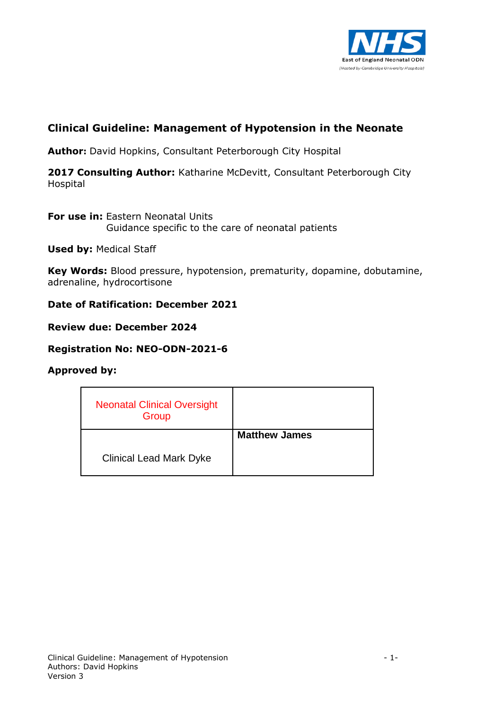

# **Clinical Guideline: Management of Hypotension in the Neonate**

**Author:** David Hopkins, Consultant Peterborough City Hospital

**2017 Consulting Author:** Katharine McDevitt, Consultant Peterborough City Hospital

**For use in: Eastern Neonatal Units** Guidance specific to the care of neonatal patients

**Used by:** Medical Staff

**Key Words:** Blood pressure, hypotension, prematurity, dopamine, dobutamine, adrenaline, hydrocortisone

#### **Date of Ratification: December 2021**

#### **Review due: December 2024**

#### **Registration No: NEO-ODN-2021-6**

#### **Approved by:**

| <b>Neonatal Clinical Oversight</b><br>Group |                      |
|---------------------------------------------|----------------------|
|                                             | <b>Matthew James</b> |
| <b>Clinical Lead Mark Dyke</b>              |                      |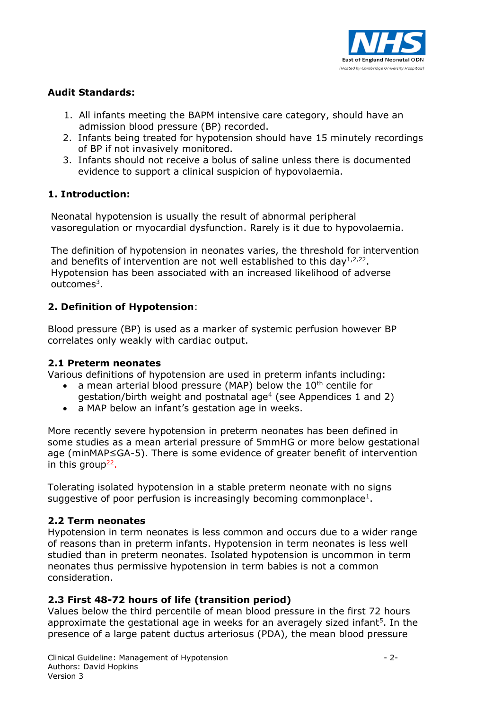

# **Audit Standards:**

- 1. All infants meeting the BAPM intensive care category, should have an admission blood pressure (BP) recorded.
- 2. Infants being treated for hypotension should have 15 minutely recordings of BP if not invasively monitored.
- 3. Infants should not receive a bolus of saline unless there is documented evidence to support a clinical suspicion of hypovolaemia.

# **1. Introduction:**

Neonatal hypotension is usually the result of abnormal peripheral vasoregulation or myocardial dysfunction. Rarely is it due to hypovolaemia.

The definition of hypotension in neonates varies, the threshold for intervention and benefits of intervention are not well established to this day<sup>1,2,22</sup>. Hypotension has been associated with an increased likelihood of adverse outcomes<sup>3</sup>.

# **2. Definition of Hypotension**:

Blood pressure (BP) is used as a marker of systemic perfusion however BP correlates only weakly with cardiac output.

#### **2.1 Preterm neonates**

Various definitions of hypotension are used in preterm infants including:

- a mean arterial blood pressure (MAP) below the 10<sup>th</sup> centile for gestation/birth weight and postnatal age<sup>4</sup> (see Appendices 1 and 2)
- a MAP below an infant's gestation age in weeks.

More recently severe hypotension in preterm neonates has been defined in some studies as a mean arterial pressure of 5mmHG or more below gestational age (minMAP≤GA-5). There is some evidence of greater benefit of intervention in this group<sup>22</sup>.

Tolerating isolated hypotension in a stable preterm neonate with no signs suggestive of poor perfusion is increasingly becoming commonplace<sup>1</sup>.

# **2.2 Term neonates**

Hypotension in term neonates is less common and occurs due to a wider range of reasons than in preterm infants. Hypotension in term neonates is less well studied than in preterm neonates. Isolated hypotension is uncommon in term neonates thus permissive hypotension in term babies is not a common consideration.

# **2.3 First 48-72 hours of life (transition period)**

Values below the third percentile of mean blood pressure in the first 72 hours approximate the gestational age in weeks for an averagely sized infant<sup>5</sup>. In the presence of a large patent ductus arteriosus (PDA), the mean blood pressure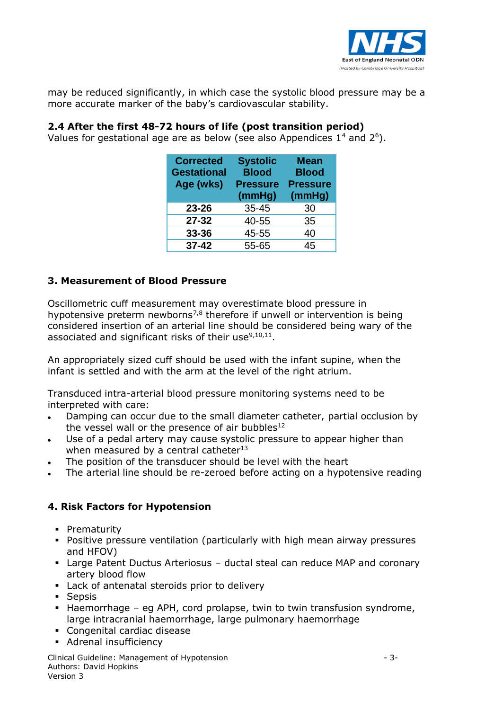

may be reduced significantly, in which case the systolic blood pressure may be a more accurate marker of the baby's cardiovascular stability.

## **2.4 After the first 48-72 hours of life (post transition period)**

Values for gestational age are as below (see also Appendices  $1^4$  and  $2^6$ ).

| <b>Corrected</b><br><b>Gestational</b><br>Age (wks) | <b>Systolic</b><br><b>Blood</b><br><b>Pressure</b><br>(mmHg) | <b>Mean</b><br><b>Blood</b><br><b>Pressure</b><br>(mmHg) |  |  |
|-----------------------------------------------------|--------------------------------------------------------------|----------------------------------------------------------|--|--|
| 23-26                                               | $35 - 45$                                                    | 30                                                       |  |  |
| $27 - 32$                                           | 40-55                                                        | 35                                                       |  |  |
| 33-36                                               | 45-55                                                        | 40                                                       |  |  |
| $37 - 42$                                           | 55-65                                                        | 45                                                       |  |  |

#### **3. Measurement of Blood Pressure**

Oscillometric cuff measurement may overestimate blood pressure in hypotensive preterm newborns<sup>7,8</sup> therefore if unwell or intervention is being considered insertion of an arterial line should be considered being wary of the associated and significant risks of their use $9,10,11$ .

An appropriately sized cuff should be used with the infant supine, when the infant is settled and with the arm at the level of the right atrium.

Transduced intra-arterial blood pressure monitoring systems need to be interpreted with care:

- Damping can occur due to the small diameter catheter, partial occlusion by the vessel wall or the presence of air bubbles $12$
- Use of a pedal artery may cause systolic pressure to appear higher than when measured by a central catheter $^{13}$
- The position of the transducer should be level with the heart
- The arterial line should be re-zeroed before acting on a hypotensive reading

#### **4. Risk Factors for Hypotension**

- **Prematurity**
- Positive pressure ventilation (particularly with high mean airway pressures and HFOV)
- Large Patent Ductus Arteriosus ductal steal can reduce MAP and coronary artery blood flow
- **Lack of antenatal steroids prior to delivery**
- **Sepsis**
- Haemorrhage eg APH, cord prolapse, twin to twin transfusion syndrome, large intracranial haemorrhage, large pulmonary haemorrhage
- Congenital cardiac disease
- **Adrenal insufficiency**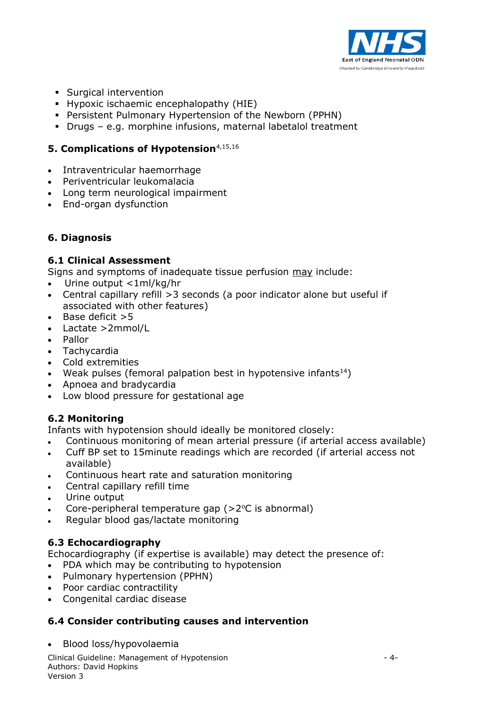

- **Surgical intervention**
- **Hypoxic ischaemic encephalopathy (HIE)**
- Persistent Pulmonary Hypertension of the Newborn (PPHN)
- Drugs e.g. morphine infusions, maternal labetalol treatment

# **5. Complications of Hypotension**4,15,16

- Intraventricular haemorrhage
- Periventricular leukomalacia
- Long term neurological impairment
- End-organ dysfunction

## **6. Diagnosis**

#### **6.1 Clinical Assessment**

Signs and symptoms of inadequate tissue perfusion may include:

- Urine output <1ml/kg/hr
- Central capillary refill >3 seconds (a poor indicator alone but useful if associated with other features)
- $\cdot$  Base deficit  $>5$
- Lactate >2mmol/L
- Pallor
- Tachycardia
- Cold extremities
- Weak pulses (femoral palpation best in hypotensive infants $^{14}$ )
- Apnoea and bradycardia
- Low blood pressure for gestational age

#### **6.2 Monitoring**

Infants with hypotension should ideally be monitored closely:

- Continuous monitoring of mean arterial pressure (if arterial access available)
- Cuff BP set to 15minute readings which are recorded (if arterial access not available)
- Continuous heart rate and saturation monitoring
- Central capillary refill time
- Urine output
- Core-peripheral temperature gap  $(>2^{\circ}C)$  is abnormal)
- Regular blood gas/lactate monitoring

#### **6.3 Echocardiography**

Echocardiography (if expertise is available) may detect the presence of:

- PDA which may be contributing to hypotension
- Pulmonary hypertension (PPHN)
- Poor cardiac contractility
- Congenital cardiac disease

#### **6.4 Consider contributing causes and intervention**

Blood loss/hypovolaemia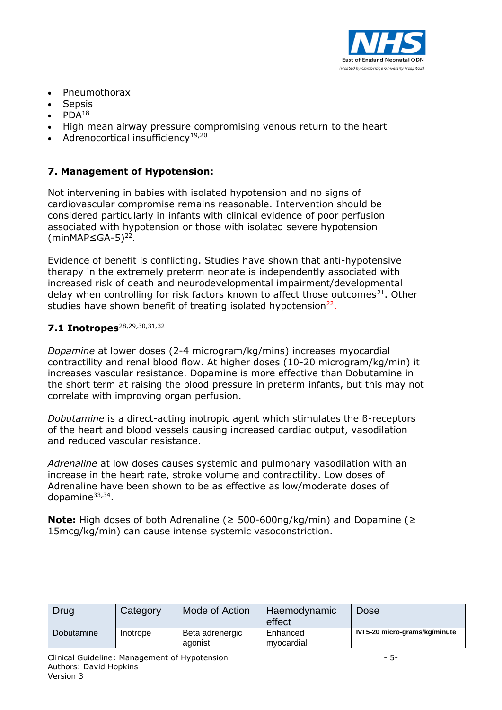

- Pneumothorax
- Sepsis
- $\bullet$  PDA<sup>18</sup>
- High mean airway pressure compromising venous return to the heart
- Adrenocortical insufficiency<sup>19,20</sup>

# **7. Management of Hypotension:**

Not intervening in babies with isolated hypotension and no signs of cardiovascular compromise remains reasonable. Intervention should be considered particularly in infants with clinical evidence of poor perfusion associated with hypotension or those with isolated severe hypotension  $(minMAP\leq GA-5)^{22}$ .

Evidence of benefit is conflicting. Studies have shown that anti-hypotensive therapy in the extremely preterm neonate is independently associated with increased risk of death and neurodevelopmental impairment/developmental delay when controlling for risk factors known to affect those outcomes<sup>21</sup>. Other studies have shown benefit of treating isolated hypotension<sup>22</sup>.

# 7.1 Inotropes<sup>28,29,30,31,32</sup>

*Dopamine* at lower doses (2-4 microgram/kg/mins) increases myocardial contractility and renal blood flow. At higher doses (10-20 microgram/kg/min) it increases vascular resistance. Dopamine is more effective than Dobutamine in the short term at raising the blood pressure in preterm infants, but this may not correlate with improving organ perfusion.

*Dobutamine* is a direct-acting [inotropic](javascript:defwindow() [agent](javascript:defwindow() which stimulates the ß-receptors of the [heart](javascript:defwindow() and blood vessels causing increased cardiac output, vasodilation and reduced vascular resistance.

*Adrenaline* at low doses causes systemic and pulmonary vasodilation with an increase in the heart rate, stroke volume and contractility. Low doses of Adrenaline have been shown to be as effective as low/moderate doses of dopamine<sup>33,34</sup>.

**Note:** High doses of both Adrenaline (≥ 500-600ng/kg/min) and Dopamine (≥ 15mcg/kg/min) can cause intense systemic vasoconstriction.

| Drug       | Category | Mode of Action             | Haemodynamic<br>effect | <b>Dose</b>                    |
|------------|----------|----------------------------|------------------------|--------------------------------|
| Dobutamine | Inotrope | Beta adrenergic<br>agonist | Enhanced<br>mvocardial | IVI 5-20 micro-grams/kg/minute |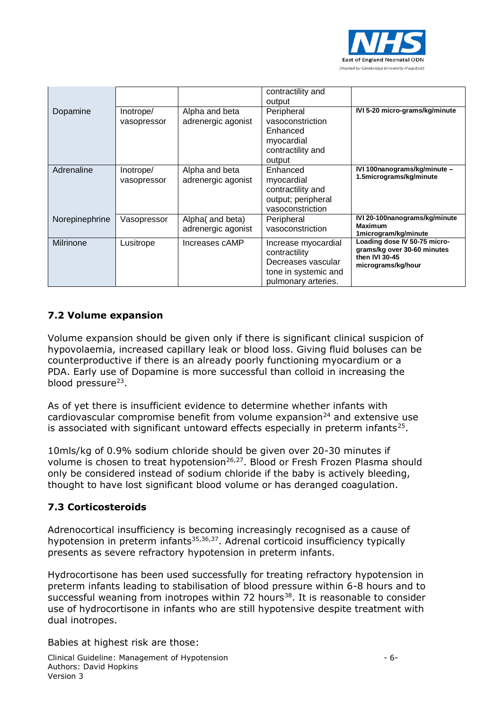

|                |                          |                                        | contractility and<br>output                                                                               |                                                                                                     |
|----------------|--------------------------|----------------------------------------|-----------------------------------------------------------------------------------------------------------|-----------------------------------------------------------------------------------------------------|
| Dopamine       | Inotrope/<br>vasopressor | Alpha and beta<br>adrenergic agonist   | Peripheral<br>vasoconstriction<br>Enhanced<br>myocardial<br>contractility and<br>output                   | IVI 5-20 micro-grams/kg/minute                                                                      |
| Adrenaline     | Inotrope/<br>vasopressor | Alpha and beta<br>adrenergic agonist   | Enhanced<br>myocardial<br>contractility and<br>output; peripheral<br>vasoconstriction                     | IVI 100nanograms/kg/minute -<br>1.5micrograms/kg/minute                                             |
| Norepinephrine | Vasopressor              | Alpha (and beta)<br>adrenergic agonist | Peripheral<br>vasoconstriction                                                                            | IVI 20-100nanograms/kg/minute<br>Maximum<br>1microgram/kg/minute                                    |
| Milrinone      | Lusitrope                | Increases cAMP                         | Increase myocardial<br>contractility<br>Decreases vascular<br>tone in systemic and<br>pulmonary arteries. | Loading dose IV 50-75 micro-<br>grams/kg over 30-60 minutes<br>then IVI 30-45<br>micrograms/kg/hour |

# **7.2 Volume expansion**

Volume expansion should be given only if there is significant clinical suspicion of hypovolaemia, increased capillary leak or blood loss. Giving fluid boluses can be counterproductive if there is an already poorly functioning myocardium or a PDA. Early use of Dopamine is more successful than colloid in increasing the blood pressure<sup>23</sup>.

As of yet there is insufficient evidence to determine whether infants with cardiovascular compromise benefit from volume expansion<sup>24</sup> and extensive use is associated with significant untoward effects especially in preterm infants<sup>25</sup>.

10mls/kg of 0.9% sodium chloride should be given over 20-30 minutes if volume is chosen to treat hypotension<sup>26,27</sup>. Blood or Fresh Frozen Plasma should only be considered instead of sodium chloride if the baby is actively bleeding, thought to have lost significant blood volume or has deranged coagulation.

# **7.3 Corticosteroids**

Adrenocortical insufficiency is becoming increasingly recognised as a cause of hypotension in preterm infants<sup>35,36,37</sup>. Adrenal corticoid insufficiency typically presents as severe refractory hypotension in preterm infants.

Hydrocortisone has been used successfully for treating refractory hypotension in preterm infants leading to stabilisation of blood pressure within 6-8 hours and to successful weaning from inotropes within 72 hours<sup>38</sup>. It is reasonable to consider use of hydrocortisone in infants who are still hypotensive despite treatment with dual inotropes.

Babies at highest risk are those: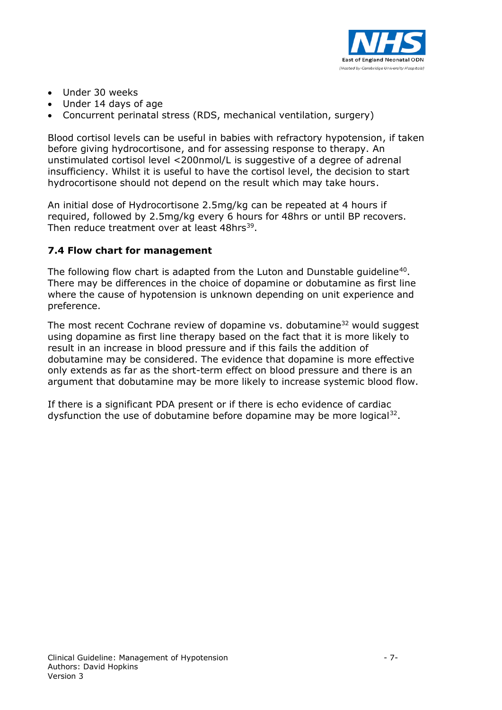

- Under 30 weeks
- Under 14 days of age
- Concurrent perinatal stress (RDS, mechanical ventilation, surgery)

Blood cortisol levels can be useful in babies with refractory hypotension, if taken before giving hydrocortisone, and for assessing response to therapy. An unstimulated cortisol level <200nmol/L is suggestive of a degree of adrenal insufficiency. Whilst it is useful to have the cortisol level, the decision to start hydrocortisone should not depend on the result which may take hours.

An initial dose of Hydrocortisone 2.5mg/kg can be repeated at 4 hours if required, followed by 2.5mg/kg every 6 hours for 48hrs or until BP recovers. Then reduce treatment over at least 48hrs<sup>39</sup>.

## **7.4 Flow chart for management**

The following flow chart is adapted from the Luton and Dunstable guideline<sup>40</sup>. There may be differences in the choice of dopamine or dobutamine as first line where the cause of hypotension is unknown depending on unit experience and preference.

The most recent Cochrane review of dopamine vs. dobutamine<sup>32</sup> would suggest using dopamine as first line therapy based on the fact that it is more likely to result in an increase in blood pressure and if this fails the addition of dobutamine may be considered. The evidence that dopamine is more effective only extends as far as the short-term effect on blood pressure and there is an argument that dobutamine may be more likely to increase systemic blood flow.

If there is a significant PDA present or if there is echo evidence of cardiac dysfunction the use of dobutamine before dopamine may be more logical<sup>32</sup>.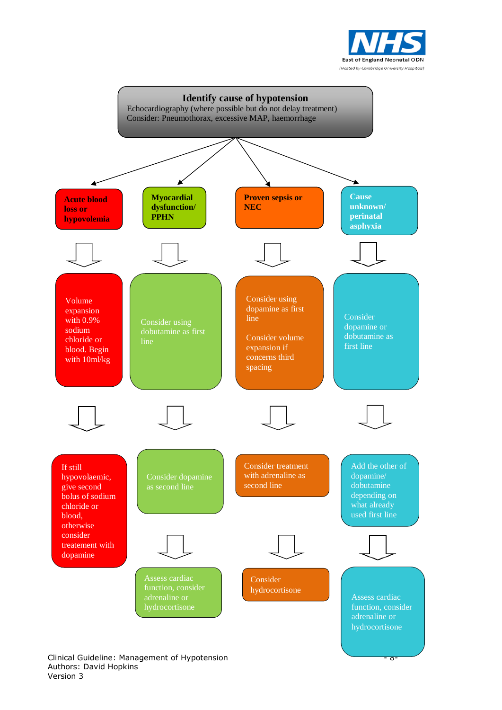



#### Clinical Guideline: Management of Hypotension - 8- Authors: David Hopkins Version 3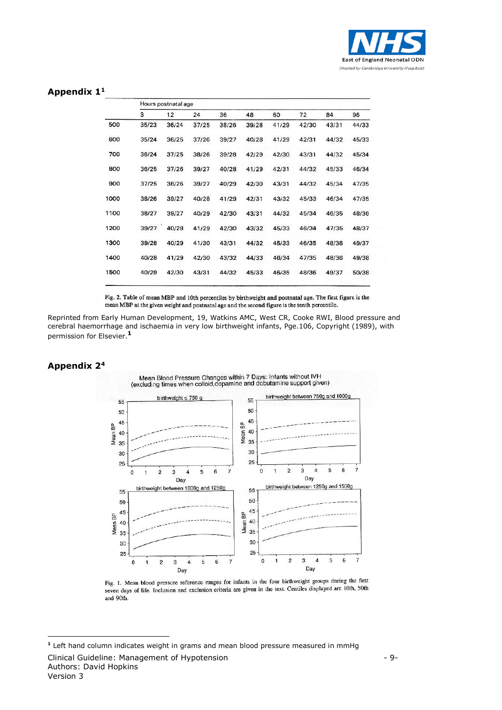

#### **Appendix 1<sup>1</sup>**

|      | Hours postnatal age |       |       |       |       |       |       |       |       |
|------|---------------------|-------|-------|-------|-------|-------|-------|-------|-------|
|      | 3                   | 12    | 24    | 36    | 48    | 60    | 72    | 84    | 96    |
| 500  | 35/23               | 36/24 | 37/25 | 38/26 | 39/28 | 41/29 | 42/30 | 43/31 | 44/33 |
| 600  | 35/24               | 36/25 | 37/26 | 39/27 | 40/28 | 41/29 | 42/31 | 44/32 | 45/33 |
| 700  | 36/24               | 37/25 | 38/26 | 39/28 | 42/29 | 42/30 | 43/31 | 44/32 | 45/34 |
| 800  | 36/25               | 37/26 | 39/27 | 40/28 | 41/29 | 42/31 | 44/32 | 45/33 | 46/34 |
| 900  | 37/25               | 38/26 | 39/27 | 40/29 | 42/30 | 43/31 | 44/32 | 45/34 | 47/35 |
| 1000 | 38/26               | 39/27 | 40/28 | 41/29 | 42/31 | 43/32 | 45/33 | 46/34 | 47/35 |
| 1100 | 38/27               | 39/27 | 40/29 | 42/30 | 43/31 | 44/32 | 45/34 | 46/35 | 48/36 |
| 1200 | 39/27               | 40/28 | 41/29 | 42/30 | 43/32 | 45/33 | 46/34 | 47/35 | 48/37 |
| 1300 | 39/28               | 40/29 | 41/30 | 43/31 | 44/32 | 45/33 | 46/35 | 48/36 | 49/37 |
| 1400 | 40/28               | 41/29 | 42/30 | 43/32 | 44/33 | 46/34 | 47/35 | 48/36 | 49/38 |
| 1500 | 40/29               | 42/30 | 43/31 | 44/32 | 45/33 | 46/35 | 48/36 | 49/37 | 50/38 |

Fig. 2. Table of mean MBP and 10th percentiles by birthweight and postnatal age. The first figure is the mean MBP at the given weight and postnatal age and the second figure is the tenth percentile.

Reprinted from Early Human Development, 19, Watkins AMC, West CR, Cooke RWI, Blood pressure and cerebral haemorrhage and ischaemia in very low birthweight infants, Pge.106, Copyright (1989), with permission for Elsevier.**<sup>1</sup>**

#### **Appendix 2<sup>4</sup>**

1



Fig. 1. Mean blood pressure reference ranges for infants in the four birthweight groups during the first seven days of life. Inclusion and exclusion criteria are given in the text. Centiles displayed are 10th, 50th and 90th.

**<sup>1</sup>** Left hand column indicates weight in grams and mean blood pressure measured in mmHg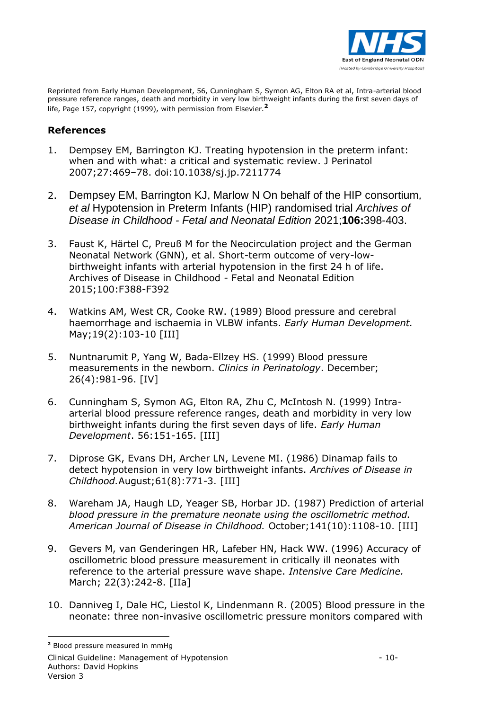

Reprinted from Early Human Development, 56, Cunningham S, Symon AG, Elton RA et al, Intra-arterial blood pressure reference ranges, death and morbidity in very low birthweight infants during the first seven days of life, Page 157, copyright (1999), with permission from Elsevier.**<sup>2</sup>**

#### **References**

- 1. Dempsey EM, Barrington KJ. Treating hypotension in the preterm infant: when and with what: a critical and systematic review. J Perinatol 2007;27:469–78. doi:10.1038/sj.jp.7211774
- 2. Dempsey EM, Barrington KJ, Marlow N On behalf of the HIP consortium*, et al* Hypotension in Preterm Infants (HIP) randomised trial *Archives of Disease in Childhood - Fetal and Neonatal Edition* 2021;**106:**398-403.
- 3. Faust K, Härtel C, Preuß M for the Neocirculation project and the German Neonatal Network (GNN), et al. Short-term outcome of very-lowbirthweight infants with arterial hypotension in the first 24 h of life. Archives of Disease in Childhood - Fetal and Neonatal Edition 2015;100:F388-F392
- 4. Watkins AM, West CR, Cooke RW. (1989) Blood pressure and cerebral haemorrhage and ischaemia in VLBW infants. *Early Human Development.* May;19(2):103-10 [III]
- 5. Nuntnarumit P, Yang W, Bada-Ellzey HS. (1999) Blood pressure measurements in the newborn. *Clinics in Perinatology*. December; 26(4):981-96. [IV]
- 6. Cunningham S, Symon AG, Elton RA, Zhu C, McIntosh N. (1999) Intraarterial blood pressure reference ranges, death and morbidity in very low birthweight infants during the first seven days of life. *Early Human Development*. 56:151-165. [III]
- 7. Diprose GK, Evans DH, Archer LN, Levene MI. (1986) Dinamap fails to detect hypotension in very low birthweight infants. *Archives of Disease in Childhood.*August;61(8):771-3. [III]
- 8. Wareham JA, Haugh LD, Yeager SB, Horbar JD. (1987) Prediction of arterial *blood pressure in the premature neonate using the oscillometric method. American Journal of Disease in Childhood.* October;141(10):1108-10. [III]
- 9. Gevers M, van Genderingen HR, Lafeber HN, Hack WW. (1996) Accuracy of oscillometric blood pressure measurement in critically ill neonates with reference to the arterial pressure wave shape. *Intensive Care Medicine.* March; 22(3):242-8. [IIa]
- 10. Danniveg I, Dale HC, Liestol K, Lindenmann R. (2005) Blood pressure in the neonate: three non-invasive oscillometric pressure monitors compared with

1

**<sup>2</sup>** Blood pressure measured in mmHg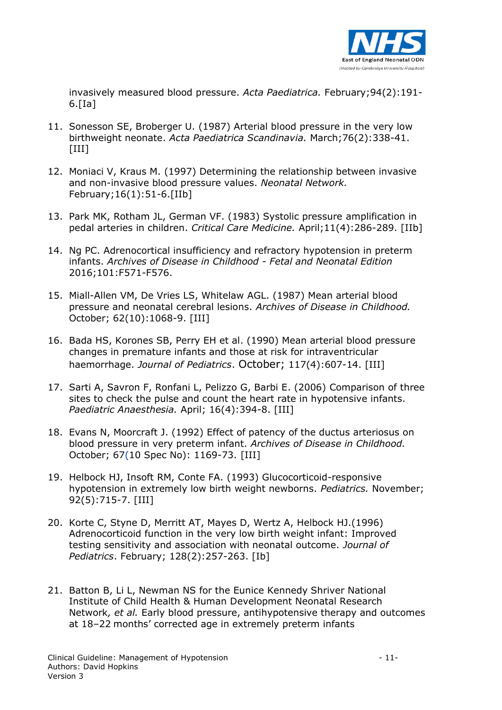

invasively measured blood pressure. *Acta Paediatrica.* February;94(2):191-  $6.$ [Ia]

- 11. Sonesson SE, Broberger U. (1987) Arterial blood pressure in the very low birthweight neonate. *Acta Paediatrica Scandinavia.* March;76(2):338-41. [III]
- 12. Moniaci V, Kraus M. (1997) Determining the relationship between invasive and non-invasive blood pressure values. *Neonatal Network.* February;16(1):51-6.[IIb]
- 13. Park MK, Rotham JL, German VF. (1983) Systolic pressure amplification in pedal arteries in children. *Critical Care Medicine.* April;11(4):286-289. [IIb]
- 14. Ng PC. Adrenocortical insufficiency and refractory hypotension in preterm infants. *Archives of Disease in Childhood - Fetal and Neonatal Edition* 2016;101:F571-F576.
- 15. Miall-Allen VM, De Vries LS, Whitelaw AGL. (1987) Mean arterial blood pressure and neonatal cerebral lesions. *Archives of Disease in Childhood.* October; 62(10):1068-9. [III]
- 16. Bada HS, Korones SB, Perry EH et al. (1990) Mean arterial blood pressure changes in premature infants and those at risk for intraventricular haemorrhage. *Journal of Pediatrics*. October; 117(4):607-14. [III]
- 17. Sarti A, Savron F, Ronfani L, Pelizzo G, Barbi E. (2006) Comparison of three sites to check the pulse and count the heart rate in hypotensive infants. *Paediatric Anaesthesia.* April; 16(4):394-8. [III]
- 18. Evans N, Moorcraft J. (1992) Effect of patency of the ductus arteriosus on blood pressure in very preterm infant. *Archives of Disease in Childhood.* October; 67(10 Spec No): 1169-73. [III]
- 19. Helbock HJ, Insoft RM, Conte FA. (1993) Glucocorticoid-responsive hypotension in extremely low birth weight newborns. *Pediatrics.* November; 92(5):715-7. [III]
- 20. Korte C, Styne D, Merritt AT, Mayes D, Wertz A, Helbock HJ.(1996) Adrenocorticoid function in the very low birth weight infant: Improved testing sensitivity and association with neonatal outcome. *Journal of Pediatrics*. February; 128(2):257-263. [Ib]
- 21. Batton B, Li L, Newman NS for the Eunice Kennedy Shriver National Institute of Child Health & Human Development Neonatal Research Network*, et al.* Early blood pressure, antihypotensive therapy and outcomes at 18–22 months' corrected age in extremely preterm infants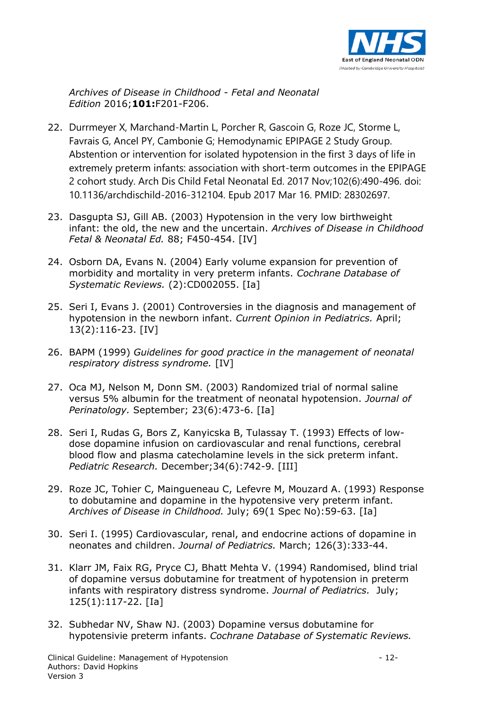

*Archives of Disease in Childhood - Fetal and Neonatal Edition* 2016;**101:**F201-F206.

- 22. Durrmeyer X, Marchand-Martin L, Porcher R, Gascoin G, Roze JC, Storme L, Favrais G, Ancel PY, Cambonie G; Hemodynamic EPIPAGE 2 Study Group. Abstention or intervention for isolated hypotension in the first 3 days of life in extremely preterm infants: association with short-term outcomes in the EPIPAGE 2 cohort study. Arch Dis Child Fetal Neonatal Ed. 2017 Nov;102(6):490-496. doi: 10.1136/archdischild-2016-312104. Epub 2017 Mar 16. PMID: 28302697.
- 23. Dasgupta SJ, Gill AB. (2003) Hypotension in the very low birthweight infant: the old, the new and the uncertain. *Archives of Disease in Childhood Fetal & Neonatal Ed.* 88; F450-454. [IV]
- 24. Osborn DA, Evans N. (2004) Early volume expansion for prevention of morbidity and mortality in very preterm infants. *Cochrane Database of Systematic Reviews.* (2):CD002055. [Ia]
- 25. Seri I, Evans J. (2001) Controversies in the diagnosis and management of hypotension in the newborn infant. *Current Opinion in Pediatrics.* April; 13(2):116-23. [IV]
- 26. BAPM (1999) *Guidelines for good practice in the management of neonatal respiratory distress syndrome.* [IV]
- 27. Oca MJ, Nelson M, Donn SM. (2003) Randomized trial of normal saline versus 5% albumin for the treatment of neonatal hypotension. *Journal of Perinatology.* September; 23(6):473-6. [Ia]
- 28. Seri I, Rudas G, Bors Z, Kanyicska B, Tulassay T. (1993) Effects of lowdose dopamine infusion on cardiovascular and renal functions, cerebral blood flow and plasma catecholamine levels in the sick preterm infant. *Pediatric Research.* December;34(6):742-9. [III]
- 29. Roze JC, Tohier C, Maingueneau C, [Lefevre M,](http://www.ncbi.nlm.nih.gov/entrez/query.fcgi?db=pubmed&cmd=Search&itool=pubmed_AbstractPlus&term=%22Lefevre+M%22%5BAuthor%5D) [Mouzard A.](http://www.ncbi.nlm.nih.gov/entrez/query.fcgi?db=pubmed&cmd=Search&itool=pubmed_AbstractPlus&term=%22Mouzard+A%22%5BAuthor%5D) (1993) Response to dobutamine and dopamine in the hypotensive very preterm infant. *Archives of Disease in Childhood.* July; 69(1 Spec No):59-63. [Ia]
- 30. Seri I. (1995) Cardiovascular, renal, and endocrine actions of dopamine in neonates and children. *Journal of Pediatrics.* March; 126(3):333-44.
- 31. Klarr JM, Faix RG, Pryce CJ, Bhatt Mehta V. (1994) Randomised, blind trial of dopamine versus dobutamine for treatment of hypotension in preterm infants with respiratory distress syndrome. *Journal of Pediatrics.* July; 125(1):117-22. [Ia]
- 32. Subhedar NV, Shaw NJ. (2003) Dopamine versus dobutamine for hypotensivie preterm infants. *Cochrane Database of Systematic Reviews.*